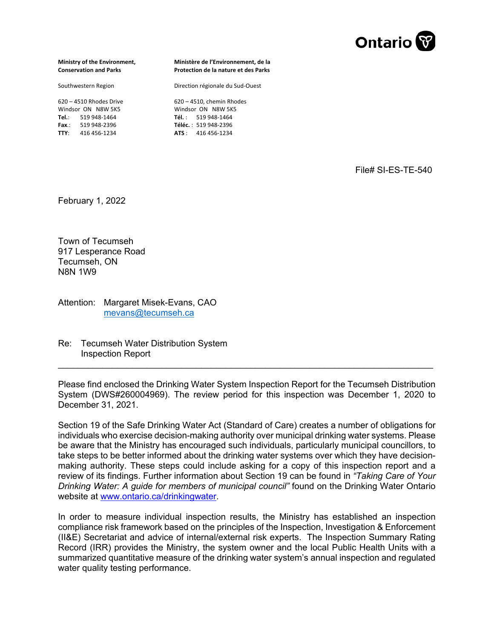

**Ministry of the Environment, Conservation and Parks**

Southwestern Region

620 – 4510 Rhodes Drive Windsor ON N8W 5K5 **Tel.**: 519 948‐1464 **Fax**.: 519 948‐2396 **TTY**: 416 456‐1234

**Ministère de l'Environnement, de la Protection de la nature et des Parks** 

Direction régionale du Sud‐Ouest

620 – 4510, chemin Rhodes Windsor ON N8W 5K5 **Tél.** : 519 948‐1464 **Téléc.** : 519 948‐2396 **ATS** : 416 456‐1234

File# SI-ES-TE-540

February 1, 2022

Town of Tecumseh 917 Lesperance Road Tecumseh, ON N8N 1W9

Attention: Margaret Misek-Evans, CAO [mevans@tecumseh.ca](mailto:mevans@tecumseh.ca) 

Re: Tecumseh Water Distribution System Inspection Report

Please find enclosed the Drinking Water System Inspection Report for the Tecumseh Distribution System (DWS#260004969). The review period for this inspection was December 1, 2020 to December 31, 2021.

\_\_\_\_\_\_\_\_\_\_\_\_\_\_\_\_\_\_\_\_\_\_\_\_\_\_\_\_\_\_\_\_\_\_\_\_\_\_\_\_\_\_\_\_\_\_\_\_\_\_\_\_\_\_\_\_\_\_\_\_\_\_\_\_\_\_\_\_\_\_\_\_\_\_\_\_

Section 19 of the Safe Drinking Water Act (Standard of Care) creates a number of obligations for individuals who exercise decision-making authority over municipal drinking water systems. Please be aware that the Ministry has encouraged such individuals, particularly municipal councillors, to take steps to be better informed about the drinking water systems over which they have decisionmaking authority. These steps could include asking for a copy of this inspection report and a review of its findings. Further information about Section 19 can be found in *"Taking Care of Your Drinking Water: A guide for members of municipal council"* found on the Drinking Water Ontario website at [www.ontario.ca/drinkingwater](http://www.ontario.ca/drinkingwater).

In order to measure individual inspection results, the Ministry has established an inspection compliance risk framework based on the principles of the Inspection, Investigation & Enforcement (II&E) Secretariat and advice of internal/external risk experts. The Inspection Summary Rating Record (IRR) provides the Ministry, the system owner and the local Public Health Units with a summarized quantitative measure of the drinking water system's annual inspection and regulated water quality testing performance.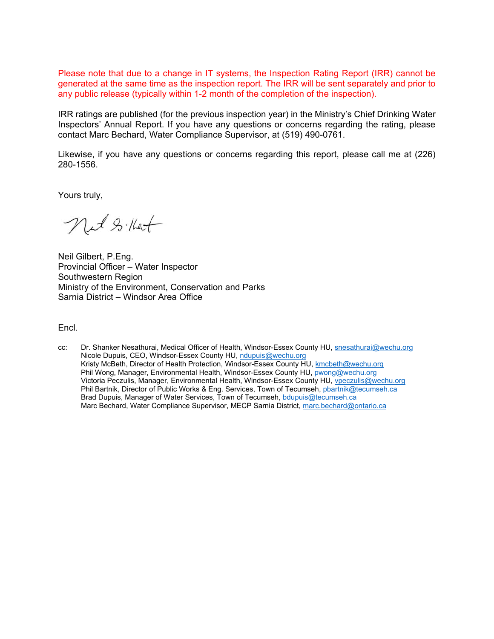Please note that due to a change in IT systems, the Inspection Rating Report (IRR) cannot be generated at the same time as the inspection report. The IRR will be sent separately and prior to any public release (typically within 1-2 month of the completion of the inspection).

IRR ratings are published (for the previous inspection year) in the Ministry's Chief Drinking Water Inspectors' Annual Report. If you have any questions or concerns regarding the rating, please contact Marc Bechard, Water Compliance Supervisor, at (519) 490-0761.

Likewise, if you have any questions or concerns regarding this report, please call me at (226) 280-1556.

Yours truly,

Net Sillet

Neil Gilbert, P.Eng. Provincial Officer – Water Inspector Southwestern Region Ministry of the Environment, Conservation and Parks Sarnia District – Windsor Area Office

Encl.

cc: Dr. Shanker Nesathurai, Medical Officer of Health, Windsor-Essex County HU, [snesathurai@wechu.org](mailto:snesathurai@wechu.org) Nicole Dupuis, CEO, Windsor-Essex County HU, [ndupuis@wechu.org](mailto:ndupuis@wechu.org)  Kristy McBeth, Director of Health Protection, Windsor-Essex County HU, [kmcbeth@wechu.org](mailto:kmcbeth@wechu.org)  Phil Wong, Manager, Environmental Health, Windsor-Essex County HU, [pwong@wechu.org](mailto:pwong@wechu.org) Victoria Peczulis, Manager, Environmental Health, Windsor-Essex County HU, [vpeczulis@wechu.org](mailto:vpeczulis@wechu.org)  Phil Bartnik, Director of Public Works & Eng. Services, Town of Tecumseh, [pbartnik@tecumseh.ca](mailto:pbartnik@tecumseh.ca)  Brad Dupuis, Manager of Water Services, Town of Tecumseh, [bdupuis@tecumseh.ca](mailto:bdupuis@tecumseh.ca) Marc Bechard, Water Compliance Supervisor, MECP Sarnia District, [marc.bechard@ontario.ca](mailto:marc.bechard@ontario.ca)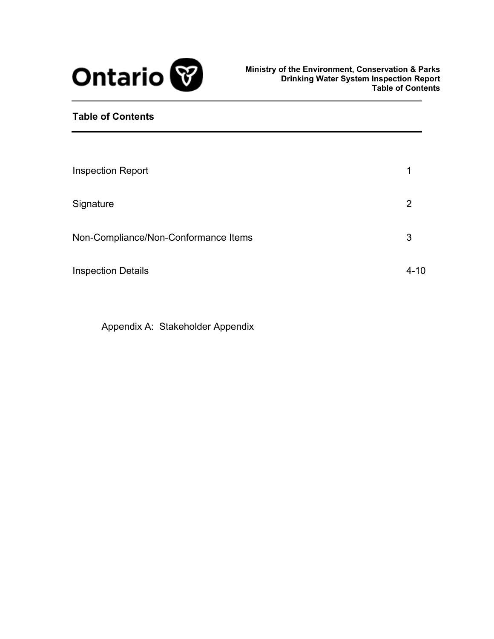

## **Table of Contents**

| <b>Inspection Report</b>             | 1        |
|--------------------------------------|----------|
| Signature                            | 2        |
| Non-Compliance/Non-Conformance Items | 3        |
| <b>Inspection Details</b>            | $4 - 10$ |

[Appendix A: Stakeholder Appendix](#page-13-0)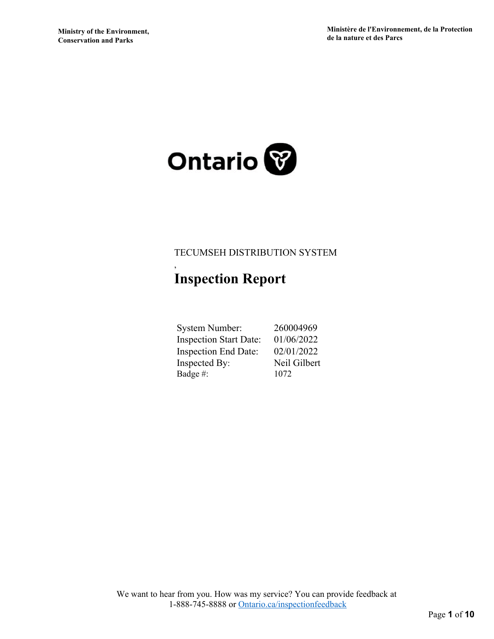

# <span id="page-3-0"></span>TECUMSEH DISTRIBUTION SYSTEM

# **Inspection Report**

,

| <b>System Number:</b>         | 260004969    |
|-------------------------------|--------------|
| <b>Inspection Start Date:</b> | 01/06/2022   |
| <b>Inspection End Date:</b>   | 02/01/2022   |
| Inspected By:                 | Neil Gilbert |
| Badge #:                      | 1072         |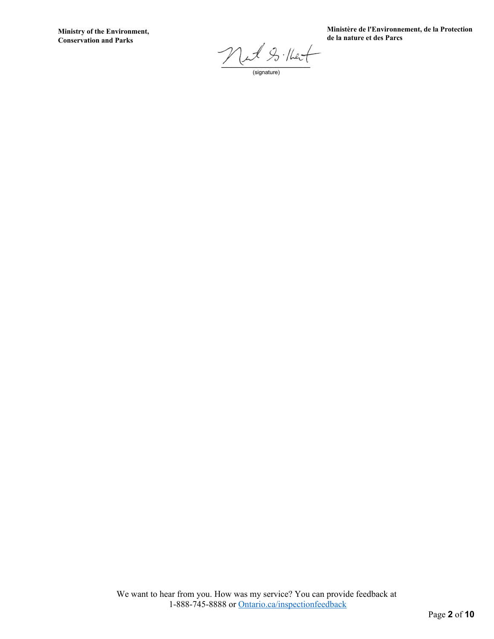**Ministry of the Environment, Conservation and Parks**

**Ministère de l'Environnement, de la Protection de la nature et des Parcs**

 $\negthinspace \mathcal{P}$  and  $\varphi_3$  that

<span id="page-4-0"></span>(signature)

We want to hear from you. How was my service? You can provide feedback at 1-888-745-8888 or [Ontario.ca/inspectionfeedback](HTTP://Ontario.ca/inspectionfeedback)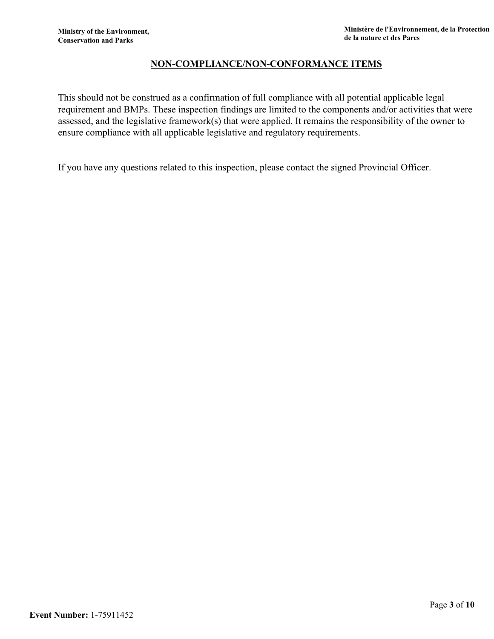### <span id="page-5-0"></span>**NON-COMPLIANCE/NON-CONFORMANCE ITEMS**

This should not be construed as a confirmation of full compliance with all potential applicable legal requirement and BMPs. These inspection findings are limited to the components and/or activities that were assessed, and the legislative framework(s) that were applied. It remains the responsibility of the owner to ensure compliance with all applicable legislative and regulatory requirements.

If you have any questions related to this inspection, please contact the signed Provincial Officer.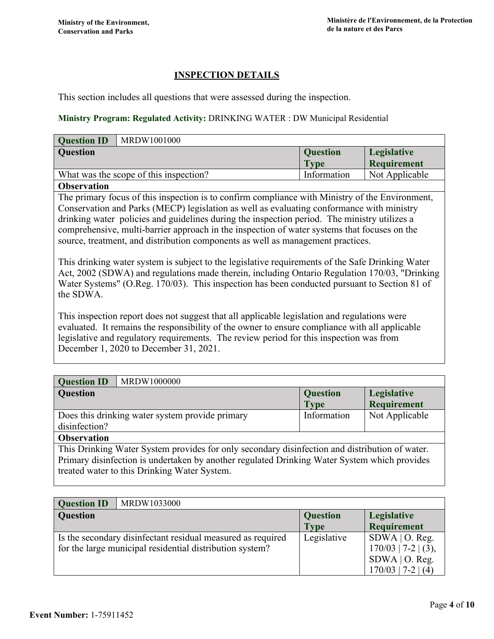### <span id="page-6-0"></span>**INSPECTION DETAILS**

This section includes all questions that were assessed during the inspection.

#### **Ministry Program: Regulated Activity:** DRINKING WATER : DW Municipal Residential

| <b>Question ID</b>                                                                              | MRDW1001000                            |                 |                    |
|-------------------------------------------------------------------------------------------------|----------------------------------------|-----------------|--------------------|
| Question                                                                                        |                                        | <b>Question</b> | Legislative        |
|                                                                                                 |                                        | <b>Type</b>     | <b>Requirement</b> |
|                                                                                                 | What was the scope of this inspection? | Information     | Not Applicable     |
| <b>Observation</b>                                                                              |                                        |                 |                    |
| The primary focus of this inspection is to confirm compliance with Ministry of the Environment, |                                        |                 |                    |
| Conservation and Parks (MECP) legislation as well as evaluating conformance with ministry       |                                        |                 |                    |
| dripleing water policies and quidolines during the inspection period. The ministry utilizes a   |                                        |                 |                    |

drinking water policies and guidelines during the inspection period. The ministry utilizes a comprehensive, multi-barrier approach in the inspection of water systems that focuses on the source, treatment, and distribution components as well as management practices.

This drinking water system is subject to the legislative requirements of the Safe Drinking Water Act, 2002 (SDWA) and regulations made therein, including Ontario Regulation 170/03, "Drinking Water Systems" (O.Reg. 170/03). This inspection has been conducted pursuant to Section 81 of the SDWA.

This inspection report does not suggest that all applicable legislation and regulations were evaluated. It remains the responsibility of the owner to ensure compliance with all applicable legislative and regulatory requirements. The review period for this inspection was from December 1, 2020 to December 31, 2021.

| <b>Question ID</b><br>MRDW1000000                                                                                                            |                 |                    |
|----------------------------------------------------------------------------------------------------------------------------------------------|-----------------|--------------------|
| <b>Question</b>                                                                                                                              | <b>Question</b> | Legislative        |
|                                                                                                                                              | <b>Type</b>     | <b>Requirement</b> |
| Does this drinking water system provide primary                                                                                              | Information     | Not Applicable     |
| disinfection?                                                                                                                                |                 |                    |
| <b>Observation</b>                                                                                                                           |                 |                    |
| This Drinking Water System provides for only secondary disinfection and distribution of water.                                               |                 |                    |
| Primary disinfection is undertaken by another regulated Drinking Water System which provides<br>treated water to this Drinking Water System. |                 |                    |

| <b>Question ID</b> | MRDW1033000                                                                                                             |                         |                                                                                       |
|--------------------|-------------------------------------------------------------------------------------------------------------------------|-------------------------|---------------------------------------------------------------------------------------|
| Question           |                                                                                                                         | <b>Question</b><br>Type | Legislative<br>Requirement                                                            |
|                    | Is the secondary disinfectant residual measured as required<br>for the large municipal residential distribution system? | Legislative             | $SDWA$   O. Reg.<br>$170/03$   7-2   (3),<br>$SDWA$   O. Reg.<br>$170/03$   7-2   (4) |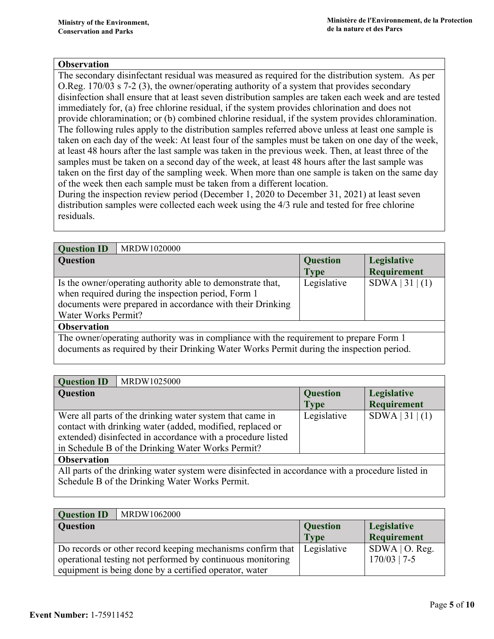The secondary disinfectant residual was measured as required for the distribution system. As per O.Reg. 170/03 s 7-2 (3), the owner/operating authority of a system that provides secondary disinfection shall ensure that at least seven distribution samples are taken each week and are tested immediately for, (a) free chlorine residual, if the system provides chlorination and does not provide chloramination; or (b) combined chlorine residual, if the system provides chloramination. The following rules apply to the distribution samples referred above unless at least one sample is taken on each day of the week: At least four of the samples must be taken on one day of the week, at least 48 hours after the last sample was taken in the previous week. Then, at least three of the samples must be taken on a second day of the week, at least 48 hours after the last sample was taken on the first day of the sampling week. When more than one sample is taken on the same day of the week then each sample must be taken from a different location.

During the inspection review period (December 1, 2020 to December 31, 2021) at least seven distribution samples were collected each week using the 4/3 rule and tested for free chlorine residuals.

| <b>Question ID</b>                                                                     | MRDW1020000                                                |                 |                    |
|----------------------------------------------------------------------------------------|------------------------------------------------------------|-----------------|--------------------|
| <b>Question</b>                                                                        |                                                            | <b>Question</b> | Legislative        |
|                                                                                        |                                                            | Type            | <b>Requirement</b> |
|                                                                                        | Is the owner/operating authority able to demonstrate that, | Legislative     | SDWA   31   (1)    |
|                                                                                        | when required during the inspection period, Form 1         |                 |                    |
|                                                                                        | documents were prepared in accordance with their Drinking  |                 |                    |
| Water Works Permit?                                                                    |                                                            |                 |                    |
| <b>Observation</b>                                                                     |                                                            |                 |                    |
| The owner/operating authority was in compliance with the requirement to prepare Form 1 |                                                            |                 |                    |
|                                                                                        |                                                            |                 |                    |

documents as required by their Drinking Water Works Permit during the inspection period.

| <b>Question ID</b><br>MRDW1025000                           |                 |                    |
|-------------------------------------------------------------|-----------------|--------------------|
| <b>Question</b>                                             | <b>Question</b> | Legislative        |
|                                                             | <b>Type</b>     | <b>Requirement</b> |
| Were all parts of the drinking water system that came in    | Legislative     | SDWA   31   (1)    |
| contact with drinking water (added, modified, replaced or   |                 |                    |
| extended) disinfected in accordance with a procedure listed |                 |                    |
| in Schedule B of the Drinking Water Works Permit?           |                 |                    |
| $\Delta$ hoowyation                                         |                 |                    |

**Observation** 

All parts of the drinking water system were disinfected in accordance with a procedure listed in Schedule B of the Drinking Water Works Permit.

| <b>Question ID</b><br>MRDW1062000                                        |                 |                    |
|--------------------------------------------------------------------------|-----------------|--------------------|
| <b>Question</b>                                                          | <b>Question</b> | Legislative        |
|                                                                          | <b>Type</b>     | <b>Requirement</b> |
| Do records or other record keeping mechanisms confirm that   Legislative |                 | $SDWA$   O. Reg.   |
| operational testing not performed by continuous monitoring               |                 | $170/03$   7-5     |
| equipment is being done by a certified operator, water                   |                 |                    |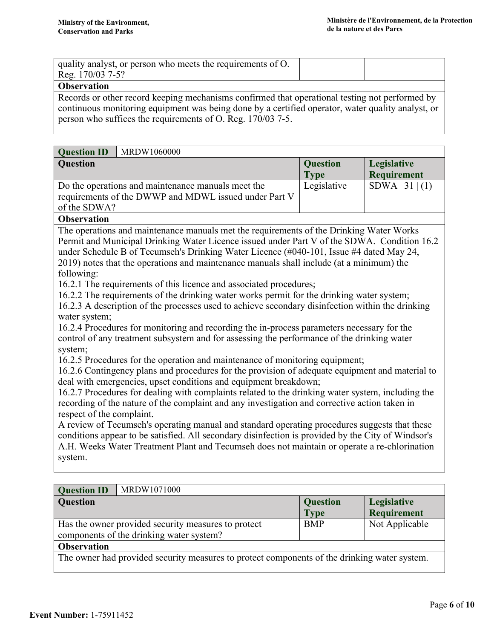| quality analyst, or person who meets the requirements of O.<br>Reg. 170/03 7-5? |  |
|---------------------------------------------------------------------------------|--|
| $\sim$                                                                          |  |

Records or other record keeping mechanisms confirmed that operational testing not performed by continuous monitoring equipment was being done by a certified operator, water quality analyst, or person who suffices the requirements of O. Reg. 170/03 7-5.

| <b>Question</b><br><b>Question</b><br>Legislative<br><b>Requirement</b><br><b>Type</b><br>$SDWA$   31   (1)<br>Do the operations and maintenance manuals meet the<br>Legislative<br>requirements of the DWWP and MDWL issued under Part V<br>of the SDWA?<br><b>Observation</b><br>The operations and maintenance manuals met the requirements of the Drinking Water Works<br>Permit and Municipal Drinking Water Licence issued under Part V of the SDWA. Condition 16.2<br>under Schedule B of Tecumseh's Drinking Water Licence (#040-101, Issue #4 dated May 24,<br>2019) notes that the operations and maintenance manuals shall include (at a minimum) the                                                                                                                                                                                                                                                                                                                                                                                                                                                                                                                                                                                                                                        | <b>Question ID</b><br>MRDW1060000 |  |  |  |
|---------------------------------------------------------------------------------------------------------------------------------------------------------------------------------------------------------------------------------------------------------------------------------------------------------------------------------------------------------------------------------------------------------------------------------------------------------------------------------------------------------------------------------------------------------------------------------------------------------------------------------------------------------------------------------------------------------------------------------------------------------------------------------------------------------------------------------------------------------------------------------------------------------------------------------------------------------------------------------------------------------------------------------------------------------------------------------------------------------------------------------------------------------------------------------------------------------------------------------------------------------------------------------------------------------|-----------------------------------|--|--|--|
|                                                                                                                                                                                                                                                                                                                                                                                                                                                                                                                                                                                                                                                                                                                                                                                                                                                                                                                                                                                                                                                                                                                                                                                                                                                                                                         |                                   |  |  |  |
|                                                                                                                                                                                                                                                                                                                                                                                                                                                                                                                                                                                                                                                                                                                                                                                                                                                                                                                                                                                                                                                                                                                                                                                                                                                                                                         |                                   |  |  |  |
|                                                                                                                                                                                                                                                                                                                                                                                                                                                                                                                                                                                                                                                                                                                                                                                                                                                                                                                                                                                                                                                                                                                                                                                                                                                                                                         |                                   |  |  |  |
| 16.2.1 The requirements of this licence and associated procedures;<br>16.2.2 The requirements of the drinking water works permit for the drinking water system;<br>16.2.3 A description of the processes used to achieve secondary disinfection within the drinking<br>water system;<br>16.2.4 Procedures for monitoring and recording the in-process parameters necessary for the<br>control of any treatment subsystem and for assessing the performance of the drinking water<br>system;<br>16.2.5 Procedures for the operation and maintenance of monitoring equipment;<br>16.2.6 Contingency plans and procedures for the provision of adequate equipment and material to<br>deal with emergencies, upset conditions and equipment breakdown;<br>16.2.7 Procedures for dealing with complaints related to the drinking water system, including the<br>recording of the nature of the complaint and any investigation and corrective action taken in<br>respect of the complaint.<br>A review of Tecumseh's operating manual and standard operating procedures suggests that these<br>conditions appear to be satisfied. All secondary disinfection is provided by the City of Windsor's<br>A.H. Weeks Water Treatment Plant and Tecumseh does not maintain or operate a re-chlorination<br>system. | following:                        |  |  |  |
| <b>Question ID</b><br>MRDW1071000                                                                                                                                                                                                                                                                                                                                                                                                                                                                                                                                                                                                                                                                                                                                                                                                                                                                                                                                                                                                                                                                                                                                                                                                                                                                       |                                   |  |  |  |

| <b>Question</b>                                                                                 | <b>Question</b> | Legislative        |
|-------------------------------------------------------------------------------------------------|-----------------|--------------------|
|                                                                                                 | <b>Type</b>     | <b>Requirement</b> |
| Has the owner provided security measures to protect<br>components of the drinking water system? | <b>BMP</b>      | Not Applicable     |
| <b>Observation</b>                                                                              |                 |                    |
| The owner had provided security measures to protect components of the drinking water system.    |                 |                    |
|                                                                                                 |                 |                    |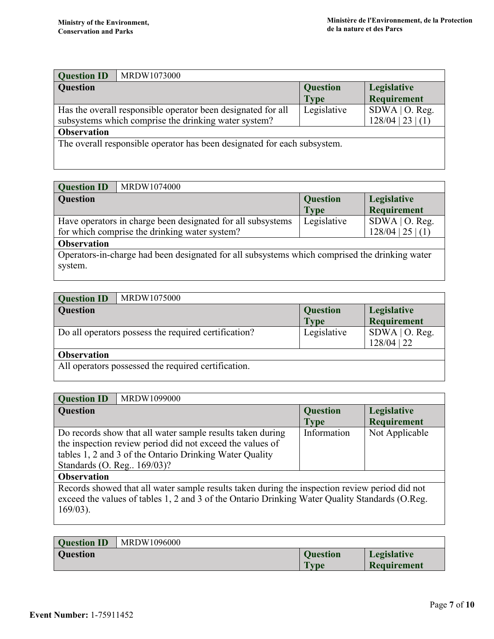| <b>Question ID</b> | MRDW1073000                                                              |                 |                     |
|--------------------|--------------------------------------------------------------------------|-----------------|---------------------|
| <b>Question</b>    |                                                                          | <b>Question</b> | Legislative         |
|                    |                                                                          | <b>Type</b>     | <b>Requirement</b>  |
|                    | Has the overall responsible operator been designated for all             | Legislative     | $SDWA$   O. Reg.    |
|                    | subsystems which comprise the drinking water system?                     |                 | $128/04$   23   (1) |
| <b>Observation</b> |                                                                          |                 |                     |
|                    | The overall responsible operator has been designated for each subsystem. |                 |                     |
|                    |                                                                          |                 |                     |
|                    |                                                                          |                 |                     |

| <b>Question ID</b> | MRDW1074000                                                                                                  |                                |                                         |
|--------------------|--------------------------------------------------------------------------------------------------------------|--------------------------------|-----------------------------------------|
| <b>Question</b>    |                                                                                                              | <b>Question</b><br><b>Type</b> | Legislative<br><b>Requirement</b>       |
|                    | Have operators in charge been designated for all subsystems<br>for which comprise the drinking water system? | Legislative                    | $SDWA$   O. Reg.<br>$128/04$   25   (1) |
| <b>Observation</b> |                                                                                                              |                                |                                         |
| system.            | Operators-in-charge had been designated for all subsystems which comprised the drinking water                |                                |                                         |

| <b>Question ID</b> | MRDW1075000                                          |                 |                    |
|--------------------|------------------------------------------------------|-----------------|--------------------|
| <b>Question</b>    |                                                      | <b>Question</b> | Legislative        |
|                    |                                                      | Type            | <b>Requirement</b> |
|                    | Do all operators possess the required certification? | Legislative     | $SDWA$   O. Reg.   |
|                    |                                                      |                 | 128/04   22        |
| <b>Observation</b> |                                                      |                 |                    |
|                    | All operators possessed the required certification.  |                 |                    |
|                    |                                                      |                 |                    |

| <b>Question ID</b>                                                                                                                                                                                              | MRDW1099000                                                |                 |                    |
|-----------------------------------------------------------------------------------------------------------------------------------------------------------------------------------------------------------------|------------------------------------------------------------|-----------------|--------------------|
| <b>Question</b>                                                                                                                                                                                                 |                                                            | <b>Question</b> | Legislative        |
|                                                                                                                                                                                                                 |                                                            | <b>Type</b>     | <b>Requirement</b> |
|                                                                                                                                                                                                                 | Do records show that all water sample results taken during | Information     | Not Applicable     |
|                                                                                                                                                                                                                 | the inspection review period did not exceed the values of  |                 |                    |
|                                                                                                                                                                                                                 | tables 1, 2 and 3 of the Ontario Drinking Water Quality    |                 |                    |
| Standards (O. Reg., 169/03)?                                                                                                                                                                                    |                                                            |                 |                    |
| <b>Observation</b>                                                                                                                                                                                              |                                                            |                 |                    |
| Records showed that all water sample results taken during the inspection review period did not<br>exceed the values of tables 1, 2 and 3 of the Ontario Drinking Water Quality Standards (O.Reg.<br>$169/03$ ). |                                                            |                 |                    |
|                                                                                                                                                                                                                 |                                                            |                 |                    |

| <b>Ouestion ID</b> | MRDW1096000 |                 |                    |
|--------------------|-------------|-----------------|--------------------|
| <b>Question</b>    |             | <b>Ouestion</b> | Legislative        |
|                    |             | <b>Type</b>     | <b>Requirement</b> |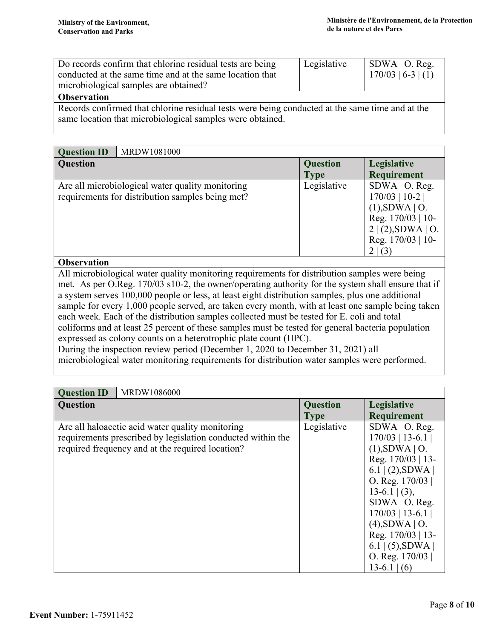| Do records confirm that chlorine residual tests are being | Legislative | $\vert$ SDWA $\vert$ O. Reg. |
|-----------------------------------------------------------|-------------|------------------------------|
| conducted at the same time and at the same location that  |             | $  170/03   6-3   (1)$       |
| microbiological samples are obtained?                     |             |                              |
| Ohservation                                               |             |                              |

Records confirmed that chlorine residual tests were being conducted at the same time and at the same location that microbiological samples were obtained.

| <b>Question ID</b> | MRDW1081000                                                                                          |                                |                                                                                                                                    |
|--------------------|------------------------------------------------------------------------------------------------------|--------------------------------|------------------------------------------------------------------------------------------------------------------------------------|
| <b>Question</b>    |                                                                                                      | <b>Question</b><br><b>Type</b> | Legislative<br><b>Requirement</b>                                                                                                  |
|                    | Are all microbiological water quality monitoring<br>requirements for distribution samples being met? | Legislative                    | $SDWA$   O. Reg.<br>$170/03$   10-2  <br>$(1)$ , SDWA   O.<br>Reg. $170/03$   10-<br>2 (2),SDWA O.<br>Reg. $170/03$   10-<br>2 (3) |
| <b>Observation</b> |                                                                                                      |                                |                                                                                                                                    |
|                    | All microbiological water quality monitoring requirements for distribution samples were being        |                                |                                                                                                                                    |

vater quality monitoring requirements for distribution samples were being met. As per O.Reg. 170/03 s10-2, the owner/operating authority for the system shall ensure that if a system serves 100,000 people or less, at least eight distribution samples, plus one additional sample for every 1,000 people served, are taken every month, with at least one sample being taken each week. Each of the distribution samples collected must be tested for E. coli and total coliforms and at least 25 percent of these samples must be tested for general bacteria population expressed as colony counts on a heterotrophic plate count (HPC). During the inspection review period (December 1, 2020 to December 31, 2021) all microbiological water monitoring requirements for distribution water samples were performed.

| <b>Question ID</b><br>MRDW1086000                                                                                                                                   |                                |                                                                                                                                                                                                                                                                                      |
|---------------------------------------------------------------------------------------------------------------------------------------------------------------------|--------------------------------|--------------------------------------------------------------------------------------------------------------------------------------------------------------------------------------------------------------------------------------------------------------------------------------|
| <b>Question</b>                                                                                                                                                     | <b>Question</b><br><b>Type</b> | Legislative<br><b>Requirement</b>                                                                                                                                                                                                                                                    |
| Are all halo actic acid water quality monitoring<br>requirements prescribed by legislation conducted within the<br>required frequency and at the required location? | Legislative                    | $SDWA$   O. Reg.<br>$170/03$   13-6.1  <br>(1), SDWA   O.<br>Reg. 170/03   13-<br>$6.1$ (2), SDWA<br>O. Reg. $170/03$<br>$13-6.1$ (3),<br>SDWA   O. Reg.<br>$170/03$   13-6.1  <br>$(4)$ , SDWA   O.<br>Reg. 170/03   13-<br>$6.1$   (5), SDWA  <br>O. Reg. $170/03$<br>$13-6.1$ (6) |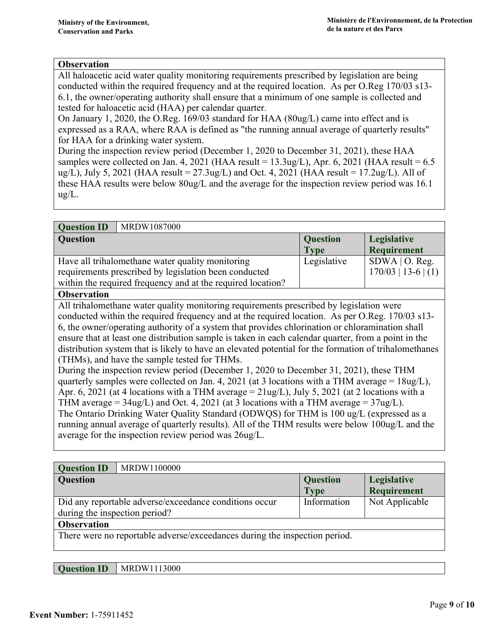All haloacetic acid water quality monitoring requirements prescribed by legislation are being conducted within the required frequency and at the required location. As per O.Reg 170/03 s13- 6.1, the owner/operating authority shall ensure that a minimum of one sample is collected and tested for haloacetic acid (HAA) per calendar quarter.

On January 1, 2020, the O.Reg. 169/03 standard for HAA (80ug/L) came into effect and is expressed as a RAA, where RAA is defined as "the running annual average of quarterly results" for HAA for a drinking water system.

During the inspection review period (December 1, 2020 to December 31, 2021), these HAA samples were collected on Jan. 4, 2021 (HAA result =  $13.3$ ug/L), Apr. 6, 2021 (HAA result =  $6.5$ ) ug/L), July 5, 2021 (HAA result =  $27.3$ ug/L) and Oct. 4, 2021 (HAA result =  $17.2$ ug/L). All of these HAA results were below 80ug/L and the average for the inspection review period was 16.1 ug/L.

| MRDW1087000<br><b>Question ID</b>                           |                 |                       |
|-------------------------------------------------------------|-----------------|-----------------------|
| <b>Question</b>                                             | <b>Question</b> | Legislative           |
|                                                             | <b>Type</b>     | Requirement           |
| Have all trihalomethane water quality monitoring            | Legislative     | $SDWA$   O. Reg.      |
| requirements prescribed by legislation been conducted       |                 | $170/03$   13-6   (1) |
| within the required frequency and at the required location? |                 |                       |
| $\sim$ $\sim$ $\sim$                                        |                 |                       |

#### **Observation**

All trihalomethane water quality monitoring requirements prescribed by legislation were conducted within the required frequency and at the required location. As per O.Reg. 170/03 s13- 6, the owner/operating authority of a system that provides chlorination or chloramination shall ensure that at least one distribution sample is taken in each calendar quarter, from a point in the distribution system that is likely to have an elevated potential for the formation of trihalomethanes (THMs), and have the sample tested for THMs.

During the inspection review period (December 1, 2020 to December 31, 2021), these THM quarterly samples were collected on Jan. 4, 2021 (at 3 locations with a THM average =  $18\mu$ g/L), Apr. 6, 2021 (at 4 locations with a THM average  $= 2 \frac{\text{ln} \chi}{\text{ln}}}$ ), July 5, 2021 (at 2 locations with a THM average =  $34\mu$ /L) and Oct. 4, 2021 (at 3 locations with a THM average =  $37\mu$ /L). The Ontario Drinking Water Quality Standard (ODWQS) for THM is 100 ug/L (expressed as a running annual average of quarterly results). All of the THM results were below 100ug/L and the average for the inspection review period was 26ug/L.

| <b>Question ID</b>                                                         | MRDW1100000                                            |                                |                                   |
|----------------------------------------------------------------------------|--------------------------------------------------------|--------------------------------|-----------------------------------|
| Question                                                                   |                                                        | <b>Question</b><br><b>Type</b> | Legislative<br><b>Requirement</b> |
| during the inspection period?                                              | Did any reportable adverse/exceedance conditions occur | Information                    | Not Applicable                    |
| <b>Observation</b>                                                         |                                                        |                                |                                   |
| There were no reportable adverse/exceedances during the inspection period. |                                                        |                                |                                   |

| <b>Question ID</b> | MRDW1113000 |
|--------------------|-------------|
|--------------------|-------------|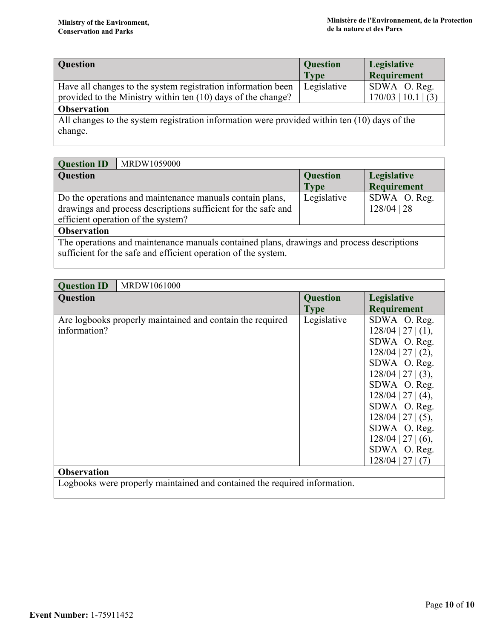| Question                                                                                                                     | <b>Question</b><br><b>Type</b> | Legislative<br>Requirement                |
|------------------------------------------------------------------------------------------------------------------------------|--------------------------------|-------------------------------------------|
| Have all changes to the system registration information been<br>provided to the Ministry within ten (10) days of the change? | Legislative                    | $SDWA$   O. Reg.<br>$170/03$   10.1   (3) |
| <b>Observation</b>                                                                                                           |                                |                                           |
| All changes to the system registration information were provided within ten (10) days of the<br>change.                      |                                |                                           |

| <b>Question ID</b><br>MRDW1059000                             |                 |                    |
|---------------------------------------------------------------|-----------------|--------------------|
| <b>Question</b>                                               | <b>Question</b> | Legislative        |
|                                                               | <b>Type</b>     | <b>Requirement</b> |
| Do the operations and maintenance manuals contain plans,      | Legislative     | $SDWA$   O. Reg.   |
| drawings and process descriptions sufficient for the safe and |                 | $128/04$   28      |
| efficient operation of the system?                            |                 |                    |
| <b>Observation</b>                                            |                 |                    |

The operations and maintenance manuals contained plans, drawings and process descriptions sufficient for the safe and efficient operation of the system.

| <b>Question ID</b>                                                        | MRDW1061000                                               |                                |                                                                                                                                                                                                                                                                                                           |  |
|---------------------------------------------------------------------------|-----------------------------------------------------------|--------------------------------|-----------------------------------------------------------------------------------------------------------------------------------------------------------------------------------------------------------------------------------------------------------------------------------------------------------|--|
| <b>Question</b>                                                           |                                                           | <b>Question</b><br><b>Type</b> | Legislative<br><b>Requirement</b>                                                                                                                                                                                                                                                                         |  |
| information?                                                              | Are logbooks properly maintained and contain the required | Legislative                    | $SDWA$   O. Reg.<br>$128/04$   27   (1),<br>SDWA   O. Reg.<br>$128/04$   27   (2),<br>$SDWA$   O. Reg.<br>$128/04$   27   (3),<br>$SDWA$   O. Reg.<br>$128/04$   27   (4),<br>SDWA   O. Reg.<br>$128/04$   27   (5),<br>SDWA   O. Reg.<br>$128/04$   27   (6),<br>$SDWA$   O. Reg.<br>$128/04$   27   (7) |  |
| <b>Observation</b>                                                        |                                                           |                                |                                                                                                                                                                                                                                                                                                           |  |
| Logbooks were properly maintained and contained the required information. |                                                           |                                |                                                                                                                                                                                                                                                                                                           |  |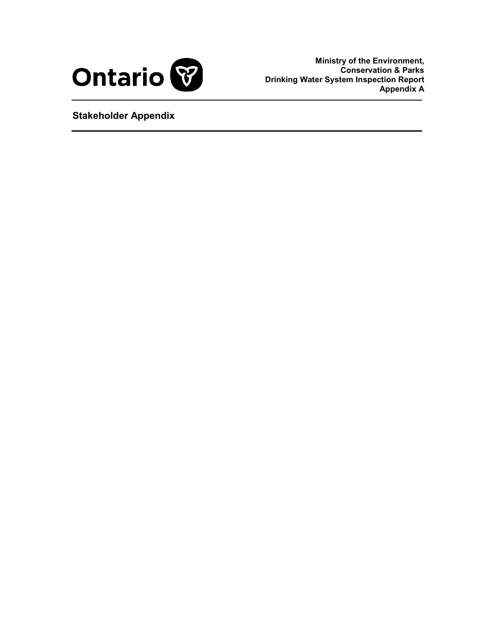

**Ministry of the Environment, Conservation & Parks Drinking Water System Inspection Report Appendix A**

<span id="page-13-0"></span>**Stakeholder Appendix**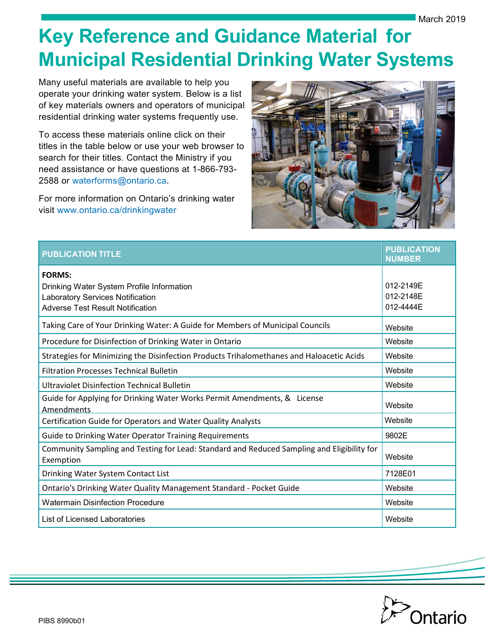# **Key Reference and Guidance Material for Municipal Residential Drinking Water Systems**

Many useful materials are available to help you operate your drinking water system. Below is a list of key materials owners and operators of municipal residential drinking water systems frequently use.

To access these materials online click on their titles in the table below or use your web browser to search for their titles. Contact the Ministry if you need assistance or have questions at 1-866-793- 2588 or [waterforms@ontario.ca](mailto:waterforms@ontario.ca).

For more information on Ontario's drinking water visit [www.ontario.ca/drinkingwater](http://www.ontario.ca/drinkingwater)



| <b>PUBLICATION TITLE</b>                                                                                                                         | <b>PUBLICATION</b><br><b>NUMBER</b> |
|--------------------------------------------------------------------------------------------------------------------------------------------------|-------------------------------------|
| <b>FORMS:</b><br>Drinking Water System Profile Information<br><b>Laboratory Services Notification</b><br><b>Adverse Test Result Notification</b> | 012-2149E<br>012-2148E<br>012-4444E |
| Taking Care of Your Drinking Water: A Guide for Members of Municipal Councils                                                                    | Website                             |
| Procedure for Disinfection of Drinking Water in Ontario                                                                                          | Website                             |
| Strategies for Minimizing the Disinfection Products Trihalomethanes and Haloacetic Acids                                                         | Website                             |
| <b>Filtration Processes Technical Bulletin</b>                                                                                                   | Website                             |
| <b>Ultraviolet Disinfection Technical Bulletin</b>                                                                                               | Website                             |
| Guide for Applying for Drinking Water Works Permit Amendments, & License<br>Amendments                                                           | Website                             |
| Certification Guide for Operators and Water Quality Analysts                                                                                     | Website                             |
| <b>Guide to Drinking Water Operator Training Requirements</b>                                                                                    | 9802E                               |
| Community Sampling and Testing for Lead: Standard and Reduced Sampling and Eligibility for<br>Exemption                                          | Website                             |
| Drinking Water System Contact List                                                                                                               | 7128E01                             |
| Ontario's Drinking Water Quality Management Standard - Pocket Guide                                                                              | Website                             |
| <b>Watermain Disinfection Procedure</b>                                                                                                          | Website                             |
| List of Licensed Laboratories                                                                                                                    | Website                             |